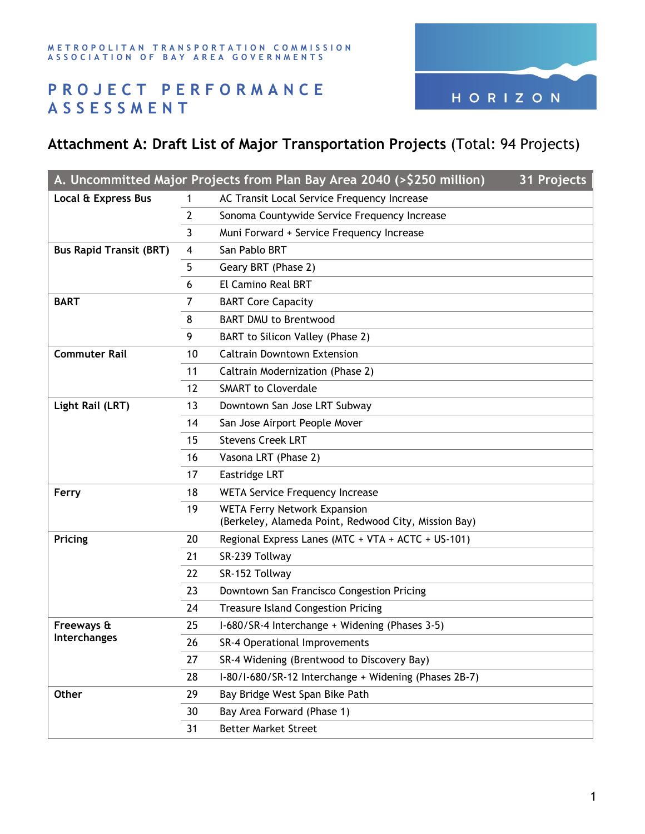

## **PROJECT PERFORMANCE ASSESSMENT**

## **Attachment A: Draft List of Major Transportation Projects** (Total: 94 Projects)

| A. Uncommitted Major Projects from Plan Bay Area 2040 (>\$250 million)<br>31 Projects |    |                                                                                             |  |  |  |
|---------------------------------------------------------------------------------------|----|---------------------------------------------------------------------------------------------|--|--|--|
| Local & Express Bus                                                                   | 1  | AC Transit Local Service Frequency Increase                                                 |  |  |  |
|                                                                                       | 2  | Sonoma Countywide Service Frequency Increase                                                |  |  |  |
|                                                                                       | 3  | Muni Forward + Service Frequency Increase                                                   |  |  |  |
| <b>Bus Rapid Transit (BRT)</b>                                                        | 4  | San Pablo BRT                                                                               |  |  |  |
|                                                                                       | 5  | Geary BRT (Phase 2)                                                                         |  |  |  |
|                                                                                       | 6  | El Camino Real BRT                                                                          |  |  |  |
| <b>BART</b>                                                                           | 7  | <b>BART Core Capacity</b>                                                                   |  |  |  |
|                                                                                       | 8  | <b>BART DMU to Brentwood</b>                                                                |  |  |  |
|                                                                                       | 9  | BART to Silicon Valley (Phase 2)                                                            |  |  |  |
| <b>Commuter Rail</b>                                                                  | 10 | <b>Caltrain Downtown Extension</b>                                                          |  |  |  |
|                                                                                       | 11 | Caltrain Modernization (Phase 2)                                                            |  |  |  |
|                                                                                       | 12 | <b>SMART to Cloverdale</b>                                                                  |  |  |  |
| Light Rail (LRT)                                                                      | 13 | Downtown San Jose LRT Subway                                                                |  |  |  |
|                                                                                       | 14 | San Jose Airport People Mover                                                               |  |  |  |
|                                                                                       | 15 | <b>Stevens Creek LRT</b>                                                                    |  |  |  |
|                                                                                       | 16 | Vasona LRT (Phase 2)                                                                        |  |  |  |
|                                                                                       | 17 | Eastridge LRT                                                                               |  |  |  |
| Ferry                                                                                 | 18 | <b>WETA Service Frequency Increase</b>                                                      |  |  |  |
|                                                                                       | 19 | <b>WETA Ferry Network Expansion</b><br>(Berkeley, Alameda Point, Redwood City, Mission Bay) |  |  |  |
| Pricing                                                                               | 20 | Regional Express Lanes (MTC + VTA + ACTC + US-101)                                          |  |  |  |
|                                                                                       | 21 | SR-239 Tollway                                                                              |  |  |  |
|                                                                                       | 22 | SR-152 Tollway                                                                              |  |  |  |
|                                                                                       | 23 | Downtown San Francisco Congestion Pricing                                                   |  |  |  |
|                                                                                       | 24 | <b>Treasure Island Congestion Pricing</b>                                                   |  |  |  |
| Freeways &<br><b>Interchanges</b>                                                     | 25 | I-680/SR-4 Interchange + Widening (Phases 3-5)                                              |  |  |  |
|                                                                                       | 26 | SR-4 Operational Improvements                                                               |  |  |  |
|                                                                                       | 27 | SR-4 Widening (Brentwood to Discovery Bay)                                                  |  |  |  |
|                                                                                       | 28 | I-80/I-680/SR-12 Interchange + Widening (Phases 2B-7)                                       |  |  |  |
| Other                                                                                 | 29 | Bay Bridge West Span Bike Path                                                              |  |  |  |
|                                                                                       | 30 | Bay Area Forward (Phase 1)                                                                  |  |  |  |
|                                                                                       | 31 | <b>Better Market Street</b>                                                                 |  |  |  |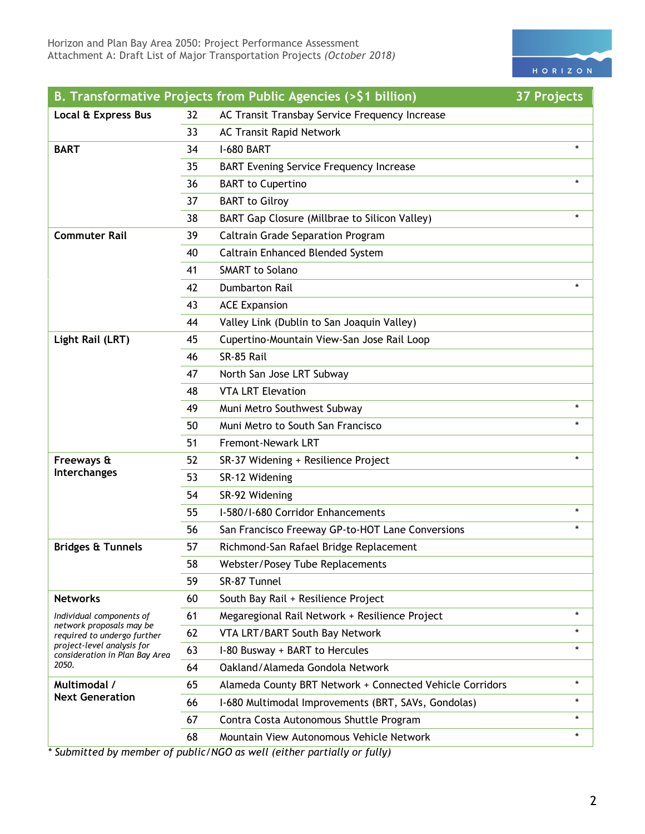

|                                                              |    | B. Transformative Projects from Public Agencies (>\$1 billion) | <b>37 Projects</b> |
|--------------------------------------------------------------|----|----------------------------------------------------------------|--------------------|
| Local & Express Bus                                          | 32 | AC Transit Transbay Service Frequency Increase                 |                    |
|                                                              | 33 | <b>AC Transit Rapid Network</b>                                |                    |
| <b>BART</b>                                                  | 34 | <b>I-680 BART</b>                                              | $\star$            |
|                                                              | 35 | <b>BART Evening Service Frequency Increase</b>                 |                    |
|                                                              | 36 | <b>BART</b> to Cupertino                                       | $\star$            |
|                                                              | 37 | <b>BART</b> to Gilroy                                          |                    |
|                                                              | 38 | BART Gap Closure (Millbrae to Silicon Valley)                  |                    |
| <b>Commuter Rail</b>                                         | 39 | <b>Caltrain Grade Separation Program</b>                       |                    |
|                                                              | 40 | Caltrain Enhanced Blended System                               |                    |
|                                                              | 41 | <b>SMART to Solano</b>                                         |                    |
|                                                              | 42 | <b>Dumbarton Rail</b>                                          |                    |
|                                                              | 43 | <b>ACE Expansion</b>                                           |                    |
|                                                              | 44 | Valley Link (Dublin to San Joaquin Valley)                     |                    |
| Light Rail (LRT)                                             | 45 | Cupertino-Mountain View-San Jose Rail Loop                     |                    |
|                                                              | 46 | SR-85 Rail                                                     |                    |
|                                                              | 47 | North San Jose LRT Subway                                      |                    |
|                                                              | 48 | <b>VTA LRT Elevation</b>                                       |                    |
|                                                              | 49 | Muni Metro Southwest Subway                                    | $\star$            |
|                                                              | 50 | Muni Metro to South San Francisco                              |                    |
|                                                              | 51 | <b>Fremont-Newark LRT</b>                                      |                    |
| Freeways &                                                   | 52 | SR-37 Widening + Resilience Project                            |                    |
| Interchanges                                                 | 53 | SR-12 Widening                                                 |                    |
|                                                              | 54 | SR-92 Widening                                                 |                    |
|                                                              | 55 | I-580/I-680 Corridor Enhancements                              | $\star$            |
|                                                              | 56 | San Francisco Freeway GP-to-HOT Lane Conversions               | $\star$            |
| <b>Bridges &amp; Tunnels</b>                                 | 57 | Richmond-San Rafael Bridge Replacement                         |                    |
|                                                              | 58 | Webster/Posey Tube Replacements                                |                    |
|                                                              | 59 | SR-87 Tunnel                                                   |                    |
| <b>Networks</b>                                              | 60 | South Bay Rail + Resilience Project                            |                    |
| Individual components of                                     | 61 | Megaregional Rail Network + Resilience Project                 | $\star$            |
| network proposals may be<br>required to undergo further      | 62 | VTA LRT/BART South Bay Network                                 | $\star$            |
| project-level analysis for<br>consideration in Plan Bay Area | 63 | I-80 Busway + BART to Hercules                                 | $\star$            |
| 2050.                                                        | 64 | Oakland/Alameda Gondola Network                                |                    |
| Multimodal /<br><b>Next Generation</b>                       | 65 | Alameda County BRT Network + Connected Vehicle Corridors       | $\ast$             |
|                                                              | 66 | I-680 Multimodal Improvements (BRT, SAVs, Gondolas)            | $\star$            |
|                                                              | 67 | Contra Costa Autonomous Shuttle Program                        | *                  |
|                                                              | 68 | Mountain View Autonomous Vehicle Network                       | $\star$            |

*\* Submitted by member of public/NGO as well (either partially or fully)*